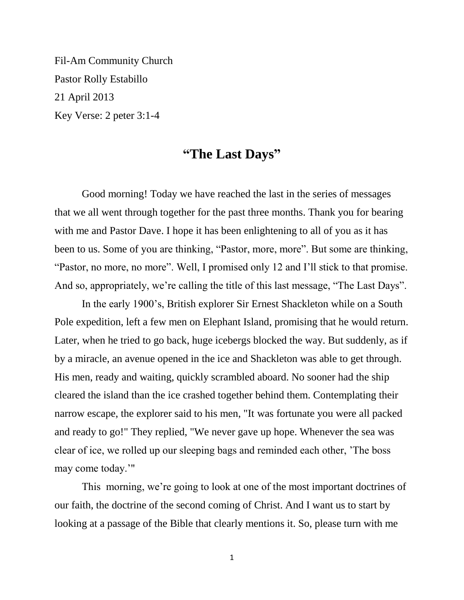Fil-Am Community Church Pastor Rolly Estabillo 21 April 2013 Key Verse: 2 peter 3:1-4

## **"The Last Days"**

Good morning! Today we have reached the last in the series of messages that we all went through together for the past three months. Thank you for bearing with me and Pastor Dave. I hope it has been enlightening to all of you as it has been to us. Some of you are thinking, "Pastor, more, more". But some are thinking, "Pastor, no more, no more". Well, I promised only 12 and I'll stick to that promise. And so, appropriately, we're calling the title of this last message, "The Last Days".

In the early 1900's, British explorer Sir Ernest Shackleton while on a South Pole expedition, left a few men on Elephant Island, promising that he would return. Later, when he tried to go back, huge icebergs blocked the way. But suddenly, as if by a miracle, an avenue opened in the ice and Shackleton was able to get through. His men, ready and waiting, quickly scrambled aboard. No sooner had the ship cleared the island than the ice crashed together behind them. Contemplating their narrow escape, the explorer said to his men, "It was fortunate you were all packed and ready to go!" They replied, "We never gave up hope. Whenever the sea was clear of ice, we rolled up our sleeping bags and reminded each other, 'The boss may come today.'"

This morning, we're going to look at one of the most important doctrines of our faith, the doctrine of the second coming of Christ. And I want us to start by looking at a passage of the Bible that clearly mentions it. So, please turn with me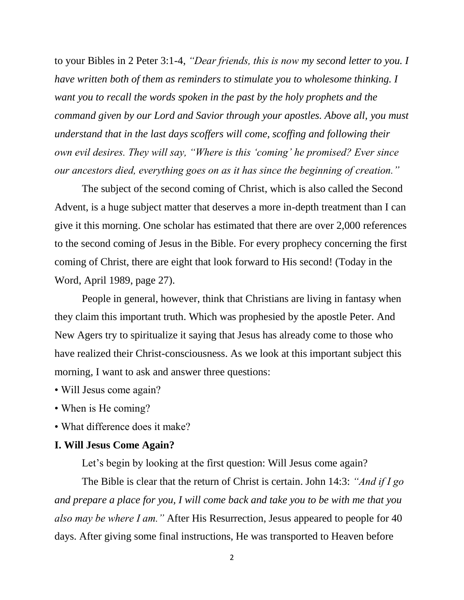to your Bibles in 2 Peter 3:1-4, *"Dear friends, this is now my second letter to you. I have written both of them as reminders to stimulate you to wholesome thinking. I want you to recall the words spoken in the past by the holy prophets and the command given by our Lord and Savior through your apostles. Above all, you must understand that in the last days scoffers will come, scoffing and following their own evil desires. They will say, "Where is this 'coming' he promised? Ever since our ancestors died, everything goes on as it has since the beginning of creation."* 

The subject of the second coming of Christ, which is also called the Second Advent, is a huge subject matter that deserves a more in-depth treatment than I can give it this morning. One scholar has estimated that there are over 2,000 references to the second coming of Jesus in the Bible. For every prophecy concerning the first coming of Christ, there are eight that look forward to His second! (Today in the Word, April 1989, page 27).

People in general, however, think that Christians are living in fantasy when they claim this important truth. Which was prophesied by the apostle Peter. And New Agers try to spiritualize it saying that Jesus has already come to those who have realized their Christ-consciousness. As we look at this important subject this morning, I want to ask and answer three questions:

- Will Jesus come again?
- When is He coming?
- What difference does it make?

## **I. Will Jesus Come Again?**

Let's begin by looking at the first question: Will Jesus come again?

The Bible is clear that the return of Christ is certain. John 14:3: *"And if I go and prepare a place for you, I will come back and take you to be with me that you also may be where I am."* After His Resurrection, Jesus appeared to people for 40 days. After giving some final instructions, He was transported to Heaven before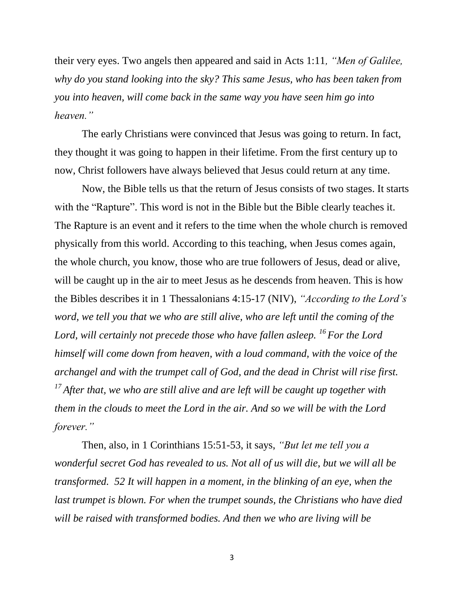their very eyes. Two angels then appeared and said in Acts 1:11*, "Men of Galilee, why do you stand looking into the sky? This same Jesus, who has been taken from you into heaven, will come back in the same way you have seen him go into heaven."* 

The early Christians were convinced that Jesus was going to return. In fact, they thought it was going to happen in their lifetime. From the first century up to now, Christ followers have always believed that Jesus could return at any time.

Now, the Bible tells us that the return of Jesus consists of two stages. It starts with the "Rapture". This word is not in the Bible but the Bible clearly teaches it. The Rapture is an event and it refers to the time when the whole church is removed physically from this world. According to this teaching, when Jesus comes again, the whole church, you know, those who are true followers of Jesus, dead or alive, will be caught up in the air to meet Jesus as he descends from heaven. This is how the Bibles describes it in 1 Thessalonians 4:15-17 (NIV), *"According to the Lord's word, we tell you that we who are still alive, who are left until the coming of the Lord, will certainly not precede those who have fallen asleep. <sup>16</sup>For the Lord himself will come down from heaven, with a loud command, with the voice of the archangel and with the trumpet call of God, and the dead in Christ will rise first. <sup>17</sup> After that, we who are still alive and are left will be caught up together with them in the clouds to meet the Lord in the air. And so we will be with the Lord forever."*

Then, also, in 1 Corinthians 15:51-53, it says, *"But let me tell you a wonderful secret God has revealed to us. Not all of us will die, but we will all be transformed. 52 It will happen in a moment, in the blinking of an eye, when the last trumpet is blown. For when the trumpet sounds, the Christians who have died will be raised with transformed bodies. And then we who are living will be*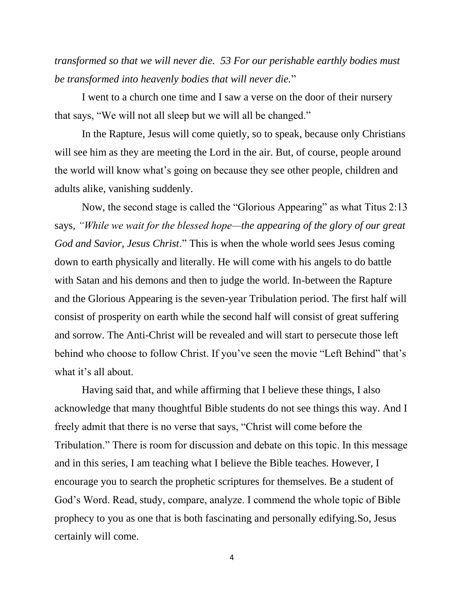*transformed so that we will never die. 53 For our perishable earthly bodies must be transformed into heavenly bodies that will never die.*"

I went to a church one time and I saw a verse on the door of their nursery that says, "We will not all sleep but we will all be changed."

In the Rapture, Jesus will come quietly, so to speak, because only Christians will see him as they are meeting the Lord in the air. But, of course, people around the world will know what's going on because they see other people, children and adults alike, vanishing suddenly.

Now, the second stage is called the "Glorious Appearing" as what Titus 2:13 says, *"While we wait for the blessed hope—the appearing of the glory of our great God and Savior, Jesus Christ*." This is when the whole world sees Jesus coming down to earth physically and literally. He will come with his angels to do battle with Satan and his demons and then to judge the world. In-between the Rapture and the Glorious Appearing is the seven-year Tribulation period. The first half will consist of prosperity on earth while the second half will consist of great suffering and sorrow. The Anti-Christ will be revealed and will start to persecute those left behind who choose to follow Christ. If you've seen the movie "Left Behind" that's what it's all about.

Having said that, and while affirming that I believe these things, I also acknowledge that many thoughtful Bible students do not see things this way. And I freely admit that there is no verse that says, "Christ will come before the Tribulation." There is room for discussion and debate on this topic. In this message and in this series, I am teaching what I believe the Bible teaches. However, I encourage you to search the prophetic scriptures for themselves. Be a student of God's Word. Read, study, compare, analyze. I commend the whole topic of Bible prophecy to you as one that is both fascinating and personally edifying.So, Jesus certainly will come.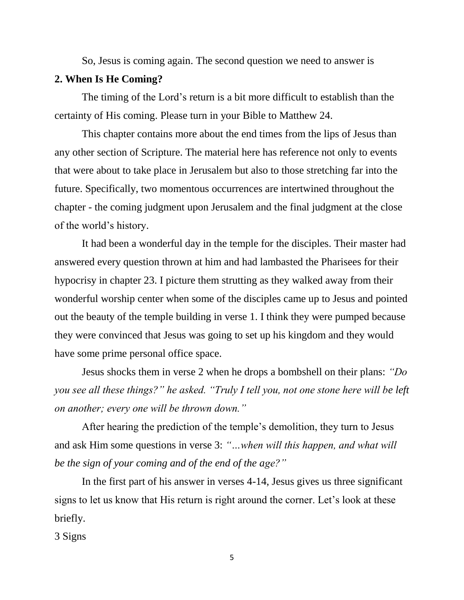So, Jesus is coming again. The second question we need to answer is

## **2. When Is He Coming?**

The timing of the Lord's return is a bit more difficult to establish than the certainty of His coming. Please turn in your Bible to Matthew 24.

This chapter contains more about the end times from the lips of Jesus than any other section of Scripture. The material here has reference not only to events that were about to take place in Jerusalem but also to those stretching far into the future. Specifically, two momentous occurrences are intertwined throughout the chapter - the coming judgment upon Jerusalem and the final judgment at the close of the world's history.

It had been a wonderful day in the temple for the disciples. Their master had answered every question thrown at him and had lambasted the Pharisees for their hypocrisy in chapter 23. I picture them strutting as they walked away from their wonderful worship center when some of the disciples came up to Jesus and pointed out the beauty of the temple building in verse 1. I think they were pumped because they were convinced that Jesus was going to set up his kingdom and they would have some prime personal office space.

Jesus shocks them in verse 2 when he drops a bombshell on their plans: *"Do you see all these things?" he asked. "Truly I tell you, not one stone here will be left on another; every one will be thrown down."*

After hearing the prediction of the temple's demolition, they turn to Jesus and ask Him some questions in verse 3: *"…when will this happen, and what will be the sign of your coming and of the end of the age?"* 

In the first part of his answer in verses 4-14, Jesus gives us three significant signs to let us know that His return is right around the corner. Let's look at these briefly.

3 Signs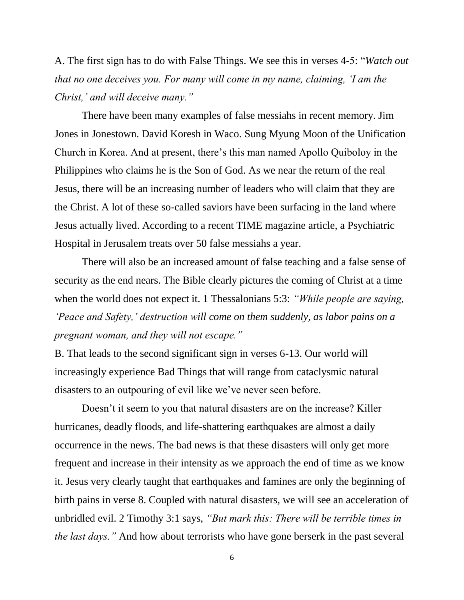A. The first sign has to do with False Things. We see this in verses 4-5: "*Watch out that no one deceives you. For many will come in my name, claiming, 'I am the Christ,' and will deceive many."* 

There have been many examples of false messiahs in recent memory. Jim Jones in Jonestown. David Koresh in Waco. Sung Myung Moon of the Unification Church in Korea. And at present, there's this man named Apollo Quiboloy in the Philippines who claims he is the Son of God. As we near the return of the real Jesus, there will be an increasing number of leaders who will claim that they are the Christ. A lot of these so-called saviors have been surfacing in the land where Jesus actually lived. According to a recent TIME magazine article, a Psychiatric Hospital in Jerusalem treats over 50 false messiahs a year.

There will also be an increased amount of false teaching and a false sense of security as the end nears. The Bible clearly pictures the coming of Christ at a time when the world does not expect it. 1 Thessalonians 5:3: *"While people are saying, 'Peace and Safety,' destruction will come on them suddenly, as labor pains on a pregnant woman, and they will not escape."*

B. That leads to the second significant sign in verses 6-13. Our world will increasingly experience Bad Things that will range from cataclysmic natural disasters to an outpouring of evil like we've never seen before.

Doesn't it seem to you that natural disasters are on the increase? Killer hurricanes, deadly floods, and life-shattering earthquakes are almost a daily occurrence in the news. The bad news is that these disasters will only get more frequent and increase in their intensity as we approach the end of time as we know it. Jesus very clearly taught that earthquakes and famines are only the beginning of birth pains in verse 8. Coupled with natural disasters, we will see an acceleration of unbridled evil. 2 Timothy 3:1 says, *"But mark this: There will be terrible times in the last days."* And how about terrorists who have gone berserk in the past several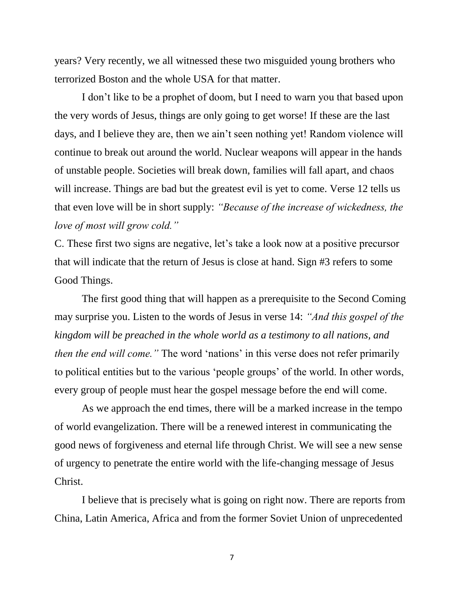years? Very recently, we all witnessed these two misguided young brothers who terrorized Boston and the whole USA for that matter.

I don't like to be a prophet of doom, but I need to warn you that based upon the very words of Jesus, things are only going to get worse! If these are the last days, and I believe they are, then we ain't seen nothing yet! Random violence will continue to break out around the world. Nuclear weapons will appear in the hands of unstable people. Societies will break down, families will fall apart, and chaos will increase. Things are bad but the greatest evil is yet to come. Verse 12 tells us that even love will be in short supply: *"Because of the increase of wickedness, the love of most will grow cold."*

C. These first two signs are negative, let's take a look now at a positive precursor that will indicate that the return of Jesus is close at hand. Sign #3 refers to some Good Things.

The first good thing that will happen as a prerequisite to the Second Coming may surprise you. Listen to the words of Jesus in verse 14: *"And this gospel of the kingdom will be preached in the whole world as a testimony to all nations, and then the end will come."* The word 'nations' in this verse does not refer primarily to political entities but to the various 'people groups' of the world. In other words, every group of people must hear the gospel message before the end will come.

As we approach the end times, there will be a marked increase in the tempo of world evangelization. There will be a renewed interest in communicating the good news of forgiveness and eternal life through Christ. We will see a new sense of urgency to penetrate the entire world with the life-changing message of Jesus Christ.

I believe that is precisely what is going on right now. There are reports from China, Latin America, Africa and from the former Soviet Union of unprecedented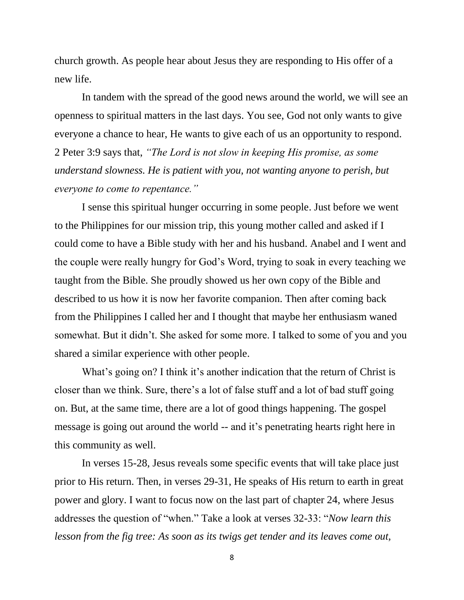church growth. As people hear about Jesus they are responding to His offer of a new life.

In tandem with the spread of the good news around the world, we will see an openness to spiritual matters in the last days. You see, God not only wants to give everyone a chance to hear, He wants to give each of us an opportunity to respond. 2 Peter 3:9 says that, *"The Lord is not slow in keeping His promise, as some understand slowness. He is patient with you, not wanting anyone to perish, but everyone to come to repentance."*

I sense this spiritual hunger occurring in some people. Just before we went to the Philippines for our mission trip, this young mother called and asked if I could come to have a Bible study with her and his husband. Anabel and I went and the couple were really hungry for God's Word, trying to soak in every teaching we taught from the Bible. She proudly showed us her own copy of the Bible and described to us how it is now her favorite companion. Then after coming back from the Philippines I called her and I thought that maybe her enthusiasm waned somewhat. But it didn't. She asked for some more. I talked to some of you and you shared a similar experience with other people.

What's going on? I think it's another indication that the return of Christ is closer than we think. Sure, there's a lot of false stuff and a lot of bad stuff going on. But, at the same time, there are a lot of good things happening. The gospel message is going out around the world -- and it's penetrating hearts right here in this community as well.

In verses 15-28, Jesus reveals some specific events that will take place just prior to His return. Then, in verses 29-31, He speaks of His return to earth in great power and glory. I want to focus now on the last part of chapter 24, where Jesus addresses the question of "when." Take a look at verses 32-33: "*Now learn this lesson from the fig tree: As soon as its twigs get tender and its leaves come out,*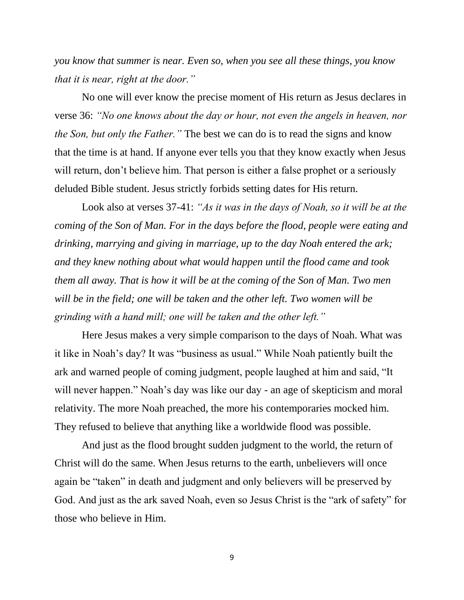*you know that summer is near. Even so, when you see all these things, you know that it is near, right at the door."* 

No one will ever know the precise moment of His return as Jesus declares in verse 36: *"No one knows about the day or hour, not even the angels in heaven, nor the Son, but only the Father."* The best we can do is to read the signs and know that the time is at hand. If anyone ever tells you that they know exactly when Jesus will return, don't believe him. That person is either a false prophet or a seriously deluded Bible student. Jesus strictly forbids setting dates for His return.

Look also at verses 37-41: *"As it was in the days of Noah, so it will be at the coming of the Son of Man. For in the days before the flood, people were eating and drinking, marrying and giving in marriage, up to the day Noah entered the ark; and they knew nothing about what would happen until the flood came and took them all away. That is how it will be at the coming of the Son of Man. Two men will be in the field; one will be taken and the other left. Two women will be grinding with a hand mill; one will be taken and the other left."*

Here Jesus makes a very simple comparison to the days of Noah. What was it like in Noah's day? It was "business as usual." While Noah patiently built the ark and warned people of coming judgment, people laughed at him and said, "It will never happen." Noah's day was like our day - an age of skepticism and moral relativity. The more Noah preached, the more his contemporaries mocked him. They refused to believe that anything like a worldwide flood was possible.

And just as the flood brought sudden judgment to the world, the return of Christ will do the same. When Jesus returns to the earth, unbelievers will once again be "taken" in death and judgment and only believers will be preserved by God. And just as the ark saved Noah, even so Jesus Christ is the "ark of safety" for those who believe in Him.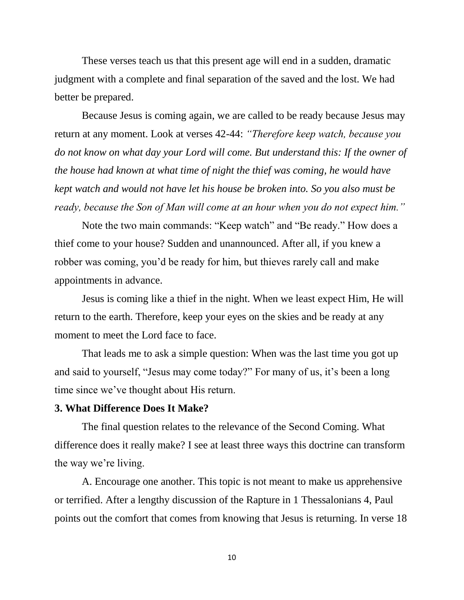These verses teach us that this present age will end in a sudden, dramatic judgment with a complete and final separation of the saved and the lost. We had better be prepared.

Because Jesus is coming again, we are called to be ready because Jesus may return at any moment. Look at verses 42-44: *"Therefore keep watch, because you do not know on what day your Lord will come. But understand this: If the owner of the house had known at what time of night the thief was coming, he would have kept watch and would not have let his house be broken into. So you also must be ready, because the Son of Man will come at an hour when you do not expect him."*

Note the two main commands: "Keep watch" and "Be ready." How does a thief come to your house? Sudden and unannounced. After all, if you knew a robber was coming, you'd be ready for him, but thieves rarely call and make appointments in advance.

Jesus is coming like a thief in the night. When we least expect Him, He will return to the earth. Therefore, keep your eyes on the skies and be ready at any moment to meet the Lord face to face.

That leads me to ask a simple question: When was the last time you got up and said to yourself, "Jesus may come today?" For many of us, it's been a long time since we've thought about His return.

## **3. What Difference Does It Make?**

The final question relates to the relevance of the Second Coming. What difference does it really make? I see at least three ways this doctrine can transform the way we're living.

A. Encourage one another. This topic is not meant to make us apprehensive or terrified. After a lengthy discussion of the Rapture in 1 Thessalonians 4, Paul points out the comfort that comes from knowing that Jesus is returning. In verse 18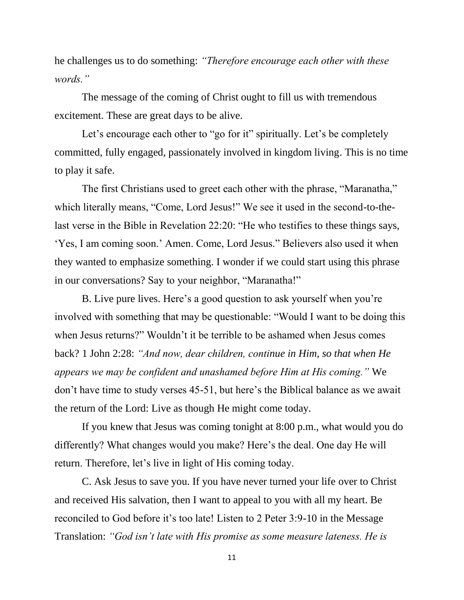he challenges us to do something: *"Therefore encourage each other with these words."* 

The message of the coming of Christ ought to fill us with tremendous excitement. These are great days to be alive.

Let's encourage each other to "go for it" spiritually. Let's be completely committed, fully engaged, passionately involved in kingdom living. This is no time to play it safe.

The first Christians used to greet each other with the phrase, "Maranatha," which literally means, "Come, Lord Jesus!" We see it used in the second-to-thelast verse in the Bible in Revelation 22:20: "He who testifies to these things says, 'Yes, I am coming soon.' Amen. Come, Lord Jesus." Believers also used it when they wanted to emphasize something. I wonder if we could start using this phrase in our conversations? Say to your neighbor, "Maranatha!"

B. Live pure lives. Here's a good question to ask yourself when you're involved with something that may be questionable: "Would I want to be doing this when Jesus returns?" Wouldn't it be terrible to be ashamed when Jesus comes back? 1 John 2:28: *"And now, dear children, continue in Him, so that when He appears we may be confident and unashamed before Him at His coming."* We don't have time to study verses 45-51, but here's the Biblical balance as we await the return of the Lord: Live as though He might come today.

If you knew that Jesus was coming tonight at 8:00 p.m., what would you do differently? What changes would you make? Here's the deal. One day He will return. Therefore, let's live in light of His coming today.

C. Ask Jesus to save you. If you have never turned your life over to Christ and received His salvation, then I want to appeal to you with all my heart. Be reconciled to God before it's too late! Listen to 2 Peter 3:9-10 in the Message Translation: *"God isn't late with His promise as some measure lateness. He is*